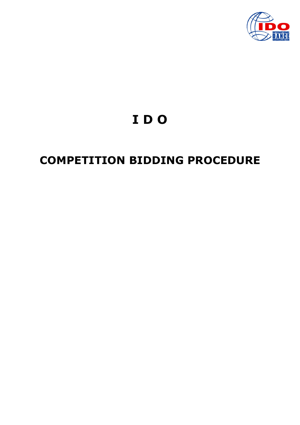

# IDO

# **COMPETITION BIDDING PROCEDURE**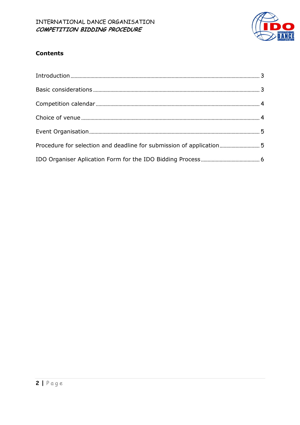

#### **Contents**

| Procedure for selection and deadline for submission of application5 |  |
|---------------------------------------------------------------------|--|
|                                                                     |  |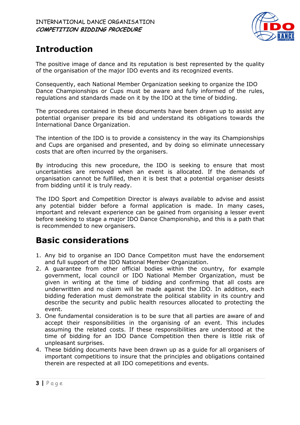

## Introduction

The positive image of dance and its reputation is best represented by the quality of the organisation of the major IDO events and its recognized events.

Consequently, each National Member Organization seeking to organize the IDO Dance Championships or Cups must be aware and fully informed of the rules, regulations and standards made on it by the IDO at the time of bidding.

The procedures contained in these documents have been drawn up to assist any potential organiser prepare its bid and understand its obligations towards the International Dance Organization.

The intention of the IDO is to provide a consistency in the way its Championships and Cups are organised and presented, and by doing so eliminate unnecessary costs that are often incurred by the organisers.

By introducing this new procedure, the IDO is seeking to ensure that most uncertainties are removed when an event is allocated. If the demands of organisation cannot be fulfilled, then it is best that a potential organiser desists from bidding until it is truly ready.

The IDO Sport and Competition Director is always available to advise and assist any potential bidder before a formal application is made. In many cases, important and relevant experience can be gained from organising a lesser event before seeking to stage a major IDO Dance Championship, and this is a path that is recommended to new organisers.

### Basic considerations

- 1. Any bid to organise an IDO Dance Competiton must have the endorsement and full support of the IDO National Member Organization.
- 2. A guarantee from other official bodies within the country, for example government, local council or IDO National Member Organization, must be given in writing at the time of bidding and confirming that all costs are underwritten and no claim will be made against the IDO. In addition, each bidding federation must demonstrate the political stability in its country and describe the security and public health resources allocated to protecting the event.
- 3. One fundamental consideration is to be sure that all parties are aware of and accept their responsibilities in the organising of an event. This includes assuming the related costs. If these responsibilities are understood at the time of bidding for an IDO Dance Competition then there is little risk of unpleasant surprises.
- 4. These bidding documents have been drawn up as a guide for all organisers of important competitions to insure that the principles and obligations contained therein are respected at all IDO comepetitions and events.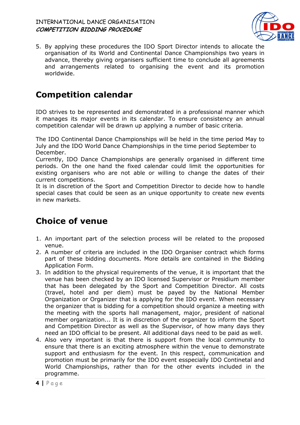#### INTERNATIONAL DANCE ORGANISATION COMPETITION BIDDING PROCEDURE



5. By applying these procedures the IDO Sport Director intends to allocate the organisation of its World and Continental Dance Championships two years in advance, thereby giving organisers sufficient time to conclude all agreements and arrangements related to organising the event and its promotion worldwide.

### Competition calendar

IDO strives to be represented and demonstrated in a professional manner which it manages its major events in its calendar. To ensure consistency an annual competition calendar will be drawn up applying a number of basic criteria.

The IDO Continental Dance Championships will be held in the time period May to July and the IDO World Dance Championships in the time period September to December.

Currently, IDO Dance Championships are generally organised in different time periods. On the one hand the fixed calendar could limit the opportunities for existing organisers who are not able or willing to change the dates of their current competitions.

It is in discretion of the Sport and Competition Director to decide how to handle special cases that could be seen as an unique opportunity to create new events in new markets.

### Choice of venue

- 1. An important part of the selection process will be related to the proposed venue.
- 2. A number of criteria are included in the IDO Organiser contract which forms part of these bidding documents. More details are contained in the Bidding Application Form.
- 3. In addition to the physical requirements of the venue, it is important that the venue has been checked by an IDO licensed Supervisor or Presidium member that has been delegated by the Sport and Competition Director. All costs (travel, hotel and per diem) must be payed by the National Member Organization or Organizer that is applying for the IDO event. When necessary the organizer that is bidding for a competition should organize a meeting with the meeting with the sports hall management, major, president of national member organization... It is in discretion of the organizer to inform the Sport and Competition Director as well as the Supervisor, of how many days they need an IDO official to be present. All additional days need to be paid as well.
- 4. Also very important is that there is support from the local community to ensure that there is an exciting atmosphere within the venue to demonstrate support and enthusiasm for the event. In this respect, communication and promotion must be primarily for the IDO event esspecially IDO Continetal and World Championships, rather than for the other events included in the programme.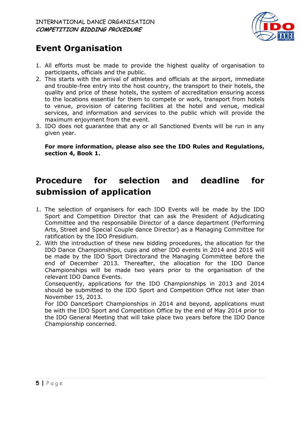

### Event Organisation

- 1. All efforts must be made to provide the highest quality of organisation to participants, officials and the public.
- 2. This starts with the arrival of athletes and officials at the airport, immediate and trouble-free entry into the host country, the transport to their hotels, the quality and price of these hotels, the system of accreditation ensuring access to the locations essential for them to compete or work, transport from hotels to venue, provision of catering facilities at the hotel and venue, medical services, and information and services to the public which will provide the maximum enjoyment from the event.
- 3. IDO does not guarantee that any or all Sanctioned Events will be run in any given year.

For more information, please also see the IDO Rules and Regulations, section 4, Book 1.

## Procedure for selection and deadline for submission of application

- 1. The selection of organisers for each IDO Events will be made by the IDO Sport and Competition Director that can ask the President of Adjudicating Committee and the responsabile Director of a dance department (Performing Arts, Street and Special Couple dance Director) as a Managing Committee for ratification by the IDO Presidium.
- 2. With the introduction of these new bidding procedures, the allocation for the IDO Dance Championships, cups and other IDO events in 2014 and 2015 will be made by the IDO Sport Directorand the Managing Committee before the end of December 2013. Thereafter, the allocation for the IDO Dance Championships will be made two years prior to the organisation of the relevant IDO Dance Events.

Consequently, applications for the IDO Championships in 2013 and 2014 should be submitted to the IDO Sport and Competition Office not later than November 15, 2013.

For IDO DanceSport Championships in 2014 and beyond, applications must be with the IDO Sport and Competition Office by the end of May 2014 prior to the IDO General Meeting that will take place two years before the IDO Dance Championship concerned.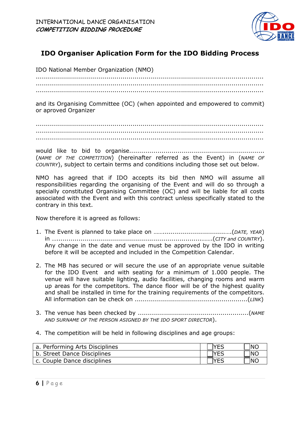

#### IDO Organiser Aplication Form for the IDO Bidding Process

IDO National Member Organization (NMO)

................................................................................................................. ................................................................................................................. .................................................................................................................

and its Organising Committee (OC) (when appointed and empowered to commit) or aproved Organizer

................................................................................................................. ................................................................................................................. .................................................................................................................

would like to bid to organise................................................................... (NAME OF THE COMPETITION) (hereinafter referred as the Event) in (NAME OF COUNTRY), subject to certain terms and conditions including those set out below.

NMO has agreed that if IDO accepts its bid then NMO will assume all responsibilities regarding the organising of the Event and will do so through a specially constituted Organising Committee (OC) and will be liable for all costs associated with the Event and with this contract unless specifically stated to the contrary in this text.

Now therefore it is agreed as follows:

- 1. The Event is planned to take place on ……...............................….(DATE, YEAR) in …........................................................................…….(CITY and COUNTRY). Any change in the date and venue must be approved by the IDO in writing before it will be accepted and included in the Competition Calendar.
- 2. The MB has secured or will secure the use of an appropriate venue suitable for the IDO Event and with seating for a minimum of 1.000 people. The venue will have suitable lighting, audio facilities, changing rooms and warm up areas for the competitors. The dance floor will be of the highest quality and shall be installed in time for the training requirements of the competitors. All information can be check on ........................................................(LINK)
- 3. The venue has been checked by .......................................................(NAME AND SURNAME OF THE PERSON ASIGNED BY THE IDO SPORT DIRECTOR).
- 4. The competition will be held in following disciplines and age groups:

| a. Performing Arts Disciplines | NC         |
|--------------------------------|------------|
| b. Street Dance Disciplines    | <b>INC</b> |
| c. Couple Dance disciplines    | NC         |